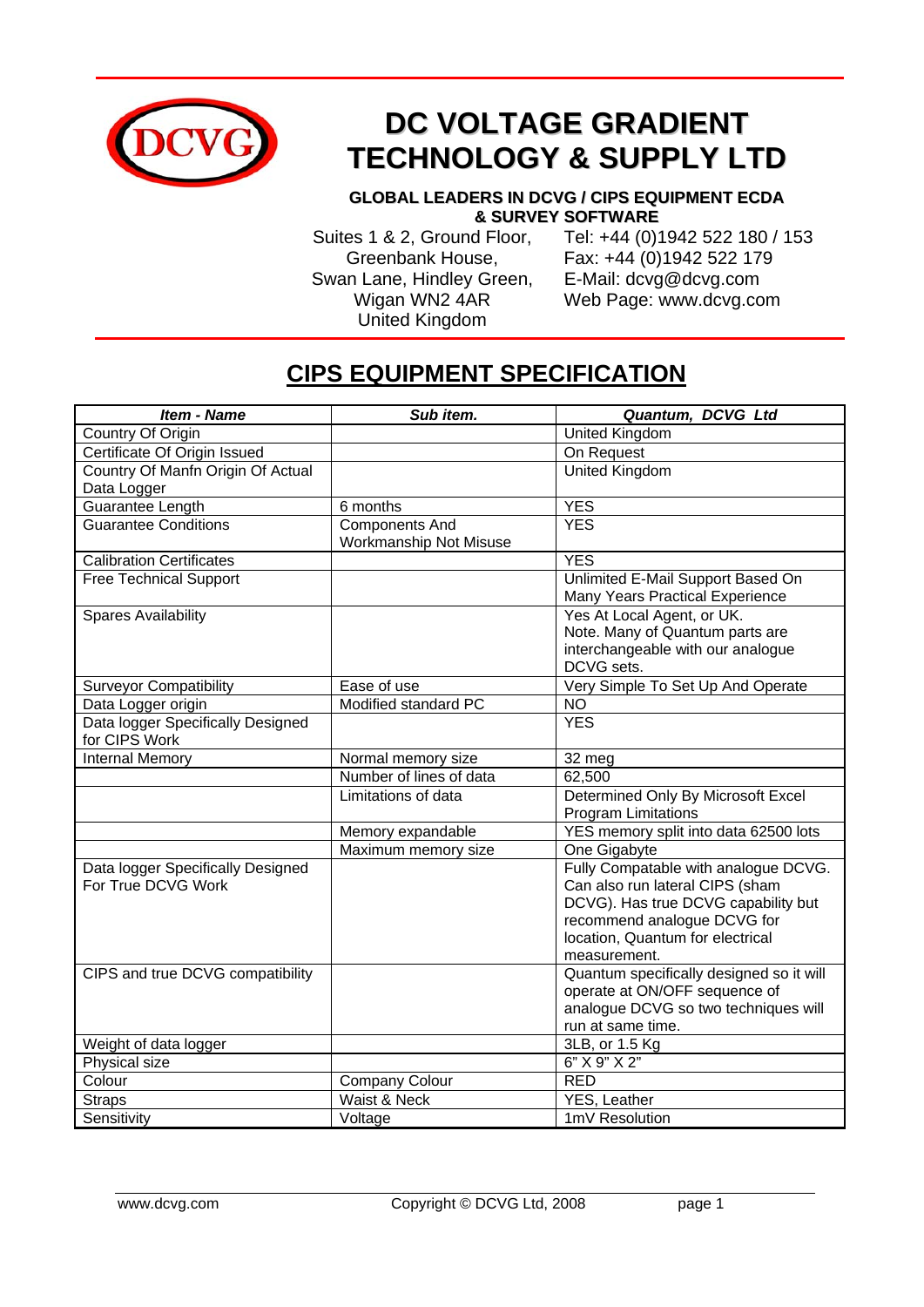

## **DC VOLTAGE GRADIENT TECHNOLOGY & SUPPLY LTD**

## **GLOBAL LEADERS IN DCVG / CIPS EQUIPMENT ECDA & SURVEY SOFTWARE**

 Swan Lane, Hindley Green, E-Mail: dcvg@dcvg.com United Kingdom

 Suites 1 & 2, Ground Floor, Tel: +44 (0)1942 522 180 / 153 Greenbank House, Fax: +44 (0)1942 522 179 Wigan WN2 4AR Web Page: www.dcvg.com

## **CIPS EQUIPMENT SPECIFICATION**

| <b>Item - Name</b>                                      | Sub item.                                       | Quantum, DCVG Ltd                                                                                                                                                                                 |
|---------------------------------------------------------|-------------------------------------------------|---------------------------------------------------------------------------------------------------------------------------------------------------------------------------------------------------|
| Country Of Origin                                       |                                                 | United Kingdom                                                                                                                                                                                    |
| Certificate Of Origin Issued                            |                                                 | On Request                                                                                                                                                                                        |
| Country Of Manfn Origin Of Actual<br>Data Logger        |                                                 | United Kingdom                                                                                                                                                                                    |
| <b>Guarantee Length</b>                                 | 6 months                                        | <b>YES</b>                                                                                                                                                                                        |
| <b>Guarantee Conditions</b>                             | <b>Components And</b><br>Workmanship Not Misuse | <b>YES</b>                                                                                                                                                                                        |
| <b>Calibration Certificates</b>                         |                                                 | <b>YES</b>                                                                                                                                                                                        |
| <b>Free Technical Support</b>                           |                                                 | Unlimited E-Mail Support Based On<br>Many Years Practical Experience                                                                                                                              |
| <b>Spares Availability</b>                              |                                                 | Yes At Local Agent, or UK.<br>Note. Many of Quantum parts are<br>interchangeable with our analogue<br>DCVG sets.                                                                                  |
| <b>Surveyor Compatibility</b>                           | Ease of use                                     | Very Simple To Set Up And Operate                                                                                                                                                                 |
| Data Logger origin                                      | Modified standard PC                            | <b>NO</b>                                                                                                                                                                                         |
| Data logger Specifically Designed<br>for CIPS Work      |                                                 | <b>YES</b>                                                                                                                                                                                        |
| <b>Internal Memory</b>                                  | Normal memory size                              | 32 meg                                                                                                                                                                                            |
|                                                         | Number of lines of data                         | 62,500                                                                                                                                                                                            |
|                                                         | Limitations of data                             | Determined Only By Microsoft Excel<br><b>Program Limitations</b>                                                                                                                                  |
|                                                         | Memory expandable                               | YES memory split into data 62500 lots                                                                                                                                                             |
|                                                         | Maximum memory size                             | One Gigabyte                                                                                                                                                                                      |
| Data logger Specifically Designed<br>For True DCVG Work |                                                 | Fully Compatable with analogue DCVG.<br>Can also run lateral CIPS (sham<br>DCVG). Has true DCVG capability but<br>recommend analogue DCVG for<br>location, Quantum for electrical<br>measurement. |
| CIPS and true DCVG compatibility                        |                                                 | Quantum specifically designed so it will<br>operate at ON/OFF sequence of<br>analogue DCVG so two techniques will<br>run at same time.                                                            |
| Weight of data logger                                   |                                                 | 3LB, or 1.5 Kg                                                                                                                                                                                    |
| Physical size                                           |                                                 | 6" X 9" X 2"                                                                                                                                                                                      |
| Colour                                                  | <b>Company Colour</b>                           | <b>RED</b>                                                                                                                                                                                        |
| <b>Straps</b>                                           | Waist & Neck                                    | YES, Leather                                                                                                                                                                                      |
| Sensitivity                                             | Voltage                                         | 1mV Resolution                                                                                                                                                                                    |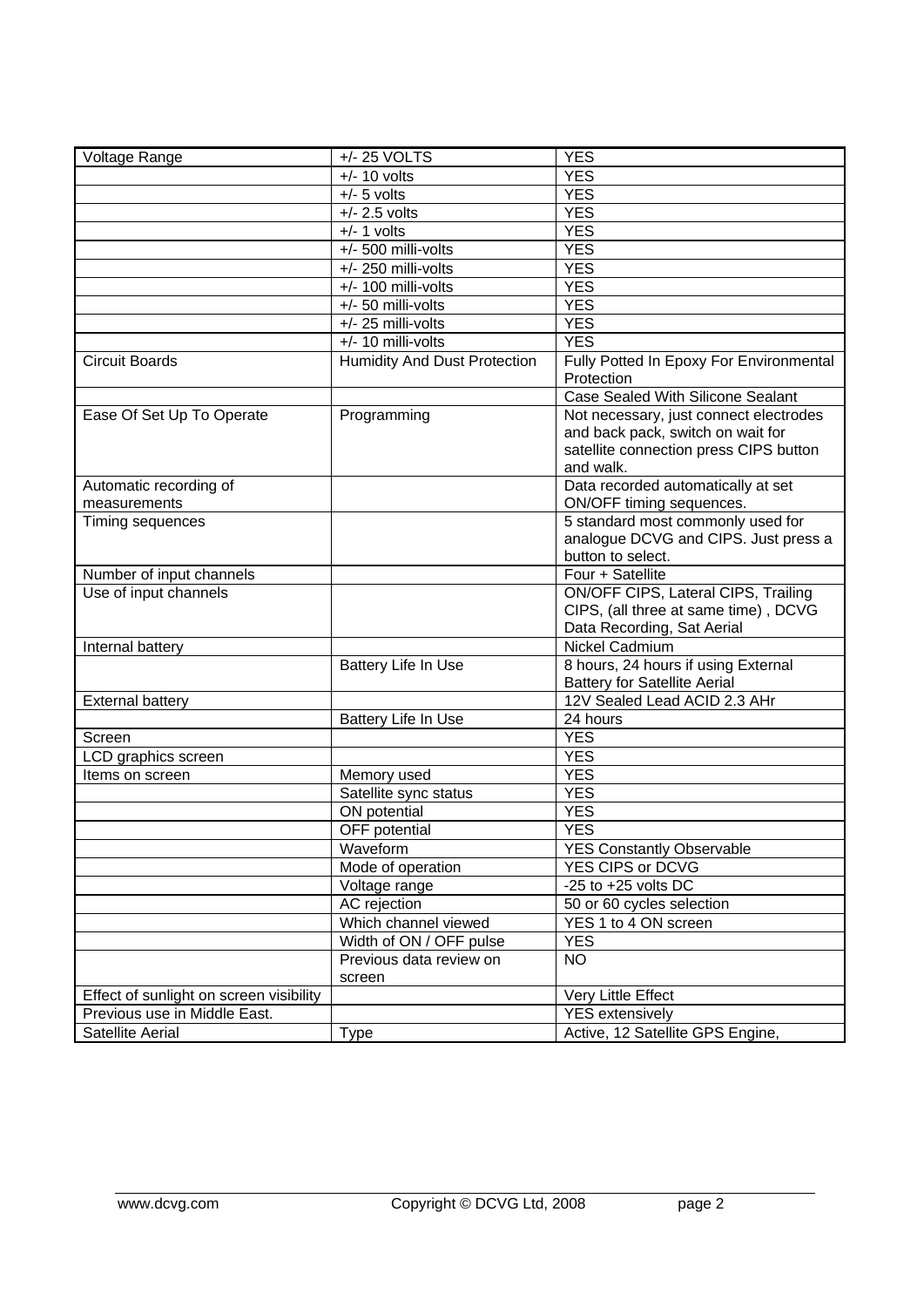| Voltage Range                           | +/- 25 VOLTS                        | <b>YES</b>                                   |
|-----------------------------------------|-------------------------------------|----------------------------------------------|
|                                         | $+/- 10$ volts                      | <b>YES</b>                                   |
|                                         | $+/-$ 5 volts                       | <b>YES</b>                                   |
|                                         | $+/- 2.5$ volts                     | <b>YES</b>                                   |
|                                         | $+/- 1$ volts                       | <b>YES</b>                                   |
|                                         | +/- 500 milli-volts                 | <b>YES</b>                                   |
|                                         | +/- 250 milli-volts                 | <b>YES</b>                                   |
|                                         | +/- 100 milli-volts                 | <b>YES</b>                                   |
|                                         | +/- 50 milli-volts                  | <b>YES</b>                                   |
|                                         | $+/- 25$ milli-volts                | <b>YES</b>                                   |
|                                         | $+/- 10$ milli-volts                | <b>YES</b>                                   |
| <b>Circuit Boards</b>                   | <b>Humidity And Dust Protection</b> | Fully Potted In Epoxy For Environmental      |
|                                         |                                     | Protection                                   |
|                                         |                                     | Case Sealed With Silicone Sealant            |
| Ease Of Set Up To Operate               | Programming                         | Not necessary, just connect electrodes       |
|                                         |                                     | and back pack, switch on wait for            |
|                                         |                                     | satellite connection press CIPS button       |
|                                         |                                     | and walk.                                    |
| Automatic recording of                  |                                     | Data recorded automatically at set           |
| measurements                            |                                     | ON/OFF timing sequences.                     |
| Timing sequences                        |                                     | 5 standard most commonly used for            |
|                                         |                                     | analogue DCVG and CIPS. Just press a         |
|                                         |                                     | button to select.                            |
| Number of input channels                |                                     | Four + Satellite                             |
| Use of input channels                   |                                     | ON/OFF CIPS, Lateral CIPS, Trailing          |
|                                         |                                     | CIPS, (all three at same time), DCVG         |
| Internal battery                        |                                     | Data Recording, Sat Aerial<br>Nickel Cadmium |
|                                         | Battery Life In Use                 | 8 hours, 24 hours if using External          |
|                                         |                                     | <b>Battery for Satellite Aerial</b>          |
| <b>External battery</b>                 |                                     | 12V Sealed Lead ACID 2.3 AHr                 |
|                                         | Battery Life In Use                 | 24 hours                                     |
| Screen                                  |                                     | <b>YES</b>                                   |
| LCD graphics screen                     |                                     | <b>YES</b>                                   |
| Items on screen                         | Memory used                         | <b>YES</b>                                   |
|                                         | Satellite sync status               | <b>YES</b>                                   |
|                                         | ON potential                        | <b>YES</b>                                   |
|                                         | OFF potential                       | <b>YES</b>                                   |
|                                         | Waveform                            | <b>YES Constantly Observable</b>             |
|                                         | Mode of operation                   | YES CIPS or DCVG                             |
|                                         | Voltage range                       | -25 to $+25$ volts DC                        |
|                                         | AC rejection                        | 50 or 60 cycles selection                    |
|                                         | Which channel viewed                | YES 1 to 4 ON screen                         |
|                                         | Width of ON / OFF pulse             | <b>YES</b>                                   |
|                                         | Previous data review on             | <b>NO</b>                                    |
|                                         | screen                              |                                              |
| Effect of sunlight on screen visibility |                                     | Very Little Effect                           |
| Previous use in Middle East.            |                                     | <b>YES</b> extensively                       |
| Satellite Aerial                        | <b>Type</b>                         | Active, 12 Satellite GPS Engine,             |
|                                         |                                     |                                              |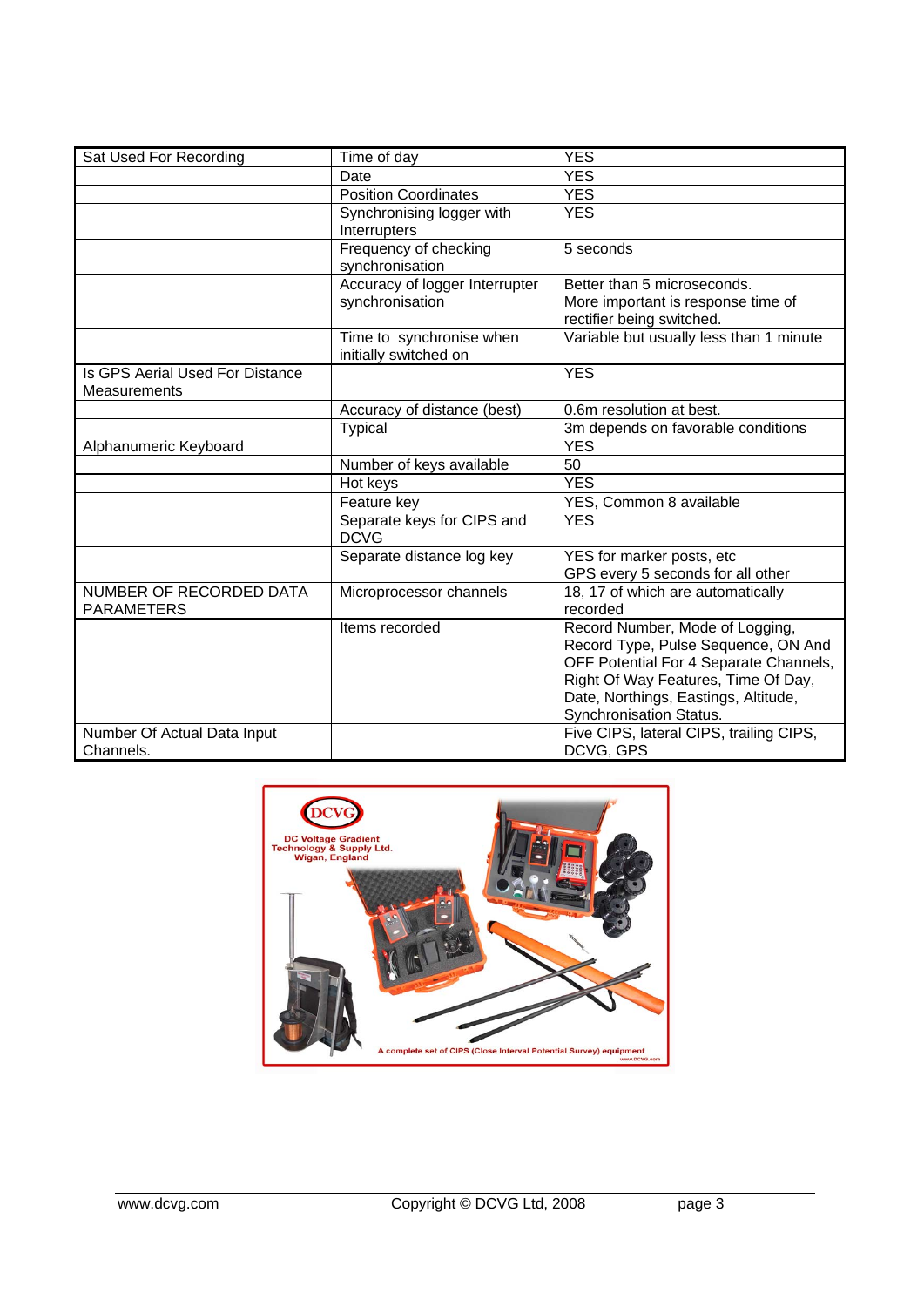| Sat Used For Recording                          | Time of day                                       | <b>YES</b>                                                      |
|-------------------------------------------------|---------------------------------------------------|-----------------------------------------------------------------|
|                                                 | Date                                              | <b>YES</b>                                                      |
|                                                 | <b>Position Coordinates</b>                       | <b>YES</b>                                                      |
|                                                 | Synchronising logger with                         | <b>YES</b>                                                      |
|                                                 | Interrupters                                      |                                                                 |
|                                                 | Frequency of checking<br>synchronisation          | 5 seconds                                                       |
|                                                 | Accuracy of logger Interrupter                    | Better than 5 microseconds.                                     |
|                                                 | synchronisation                                   | More important is response time of<br>rectifier being switched. |
|                                                 | Time to synchronise when<br>initially switched on | Variable but usually less than 1 minute                         |
| Is GPS Aerial Used For Distance<br>Measurements |                                                   | <b>YES</b>                                                      |
|                                                 | Accuracy of distance (best)                       | 0.6m resolution at best.                                        |
|                                                 | Typical                                           | 3m depends on favorable conditions                              |
| Alphanumeric Keyboard                           |                                                   | <b>YES</b>                                                      |
|                                                 | Number of keys available                          | 50                                                              |
|                                                 | Hot keys                                          | <b>YES</b>                                                      |
|                                                 | Feature key                                       | YES, Common 8 available                                         |
|                                                 | Separate keys for CIPS and<br><b>DCVG</b>         | <b>YES</b>                                                      |
|                                                 | Separate distance log key                         | YES for marker posts, etc                                       |
|                                                 |                                                   | GPS every 5 seconds for all other                               |
| NUMBER OF RECORDED DATA<br><b>PARAMETERS</b>    | Microprocessor channels                           | 18, 17 of which are automatically<br>recorded                   |
|                                                 | Items recorded                                    | Record Number, Mode of Logging,                                 |
|                                                 |                                                   | Record Type, Pulse Sequence, ON And                             |
|                                                 |                                                   | OFF Potential For 4 Separate Channels,                          |
|                                                 |                                                   | Right Of Way Features, Time Of Day,                             |
|                                                 |                                                   | Date, Northings, Eastings, Altitude,                            |
|                                                 |                                                   | Synchronisation Status.                                         |
| Number Of Actual Data Input                     |                                                   | Five CIPS, lateral CIPS, trailing CIPS,                         |
| Channels.                                       |                                                   | DCVG, GPS                                                       |

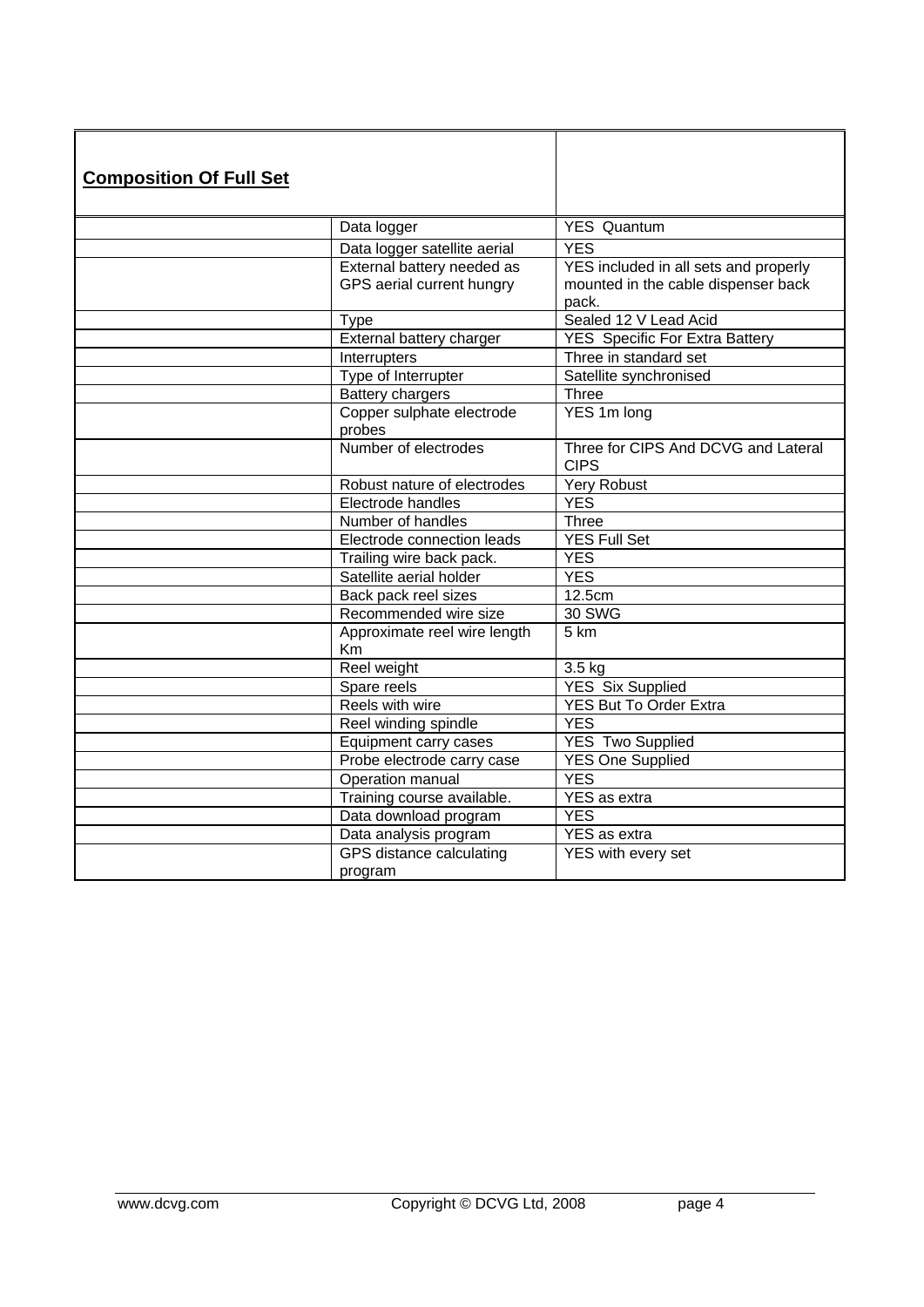| <b>Composition Of Full Set</b> |                                                         |                                                                                       |
|--------------------------------|---------------------------------------------------------|---------------------------------------------------------------------------------------|
|                                | Data logger                                             | <b>YES Quantum</b>                                                                    |
|                                | Data logger satellite aerial                            | <b>YES</b>                                                                            |
|                                | External battery needed as<br>GPS aerial current hungry | YES included in all sets and properly<br>mounted in the cable dispenser back<br>pack. |
|                                | <b>Type</b>                                             | Sealed 12 V Lead Acid                                                                 |
|                                | External battery charger                                | <b>YES</b> Specific For Extra Battery                                                 |
|                                | Interrupters                                            | Three in standard set                                                                 |
|                                | Type of Interrupter                                     | Satellite synchronised                                                                |
|                                | <b>Battery chargers</b>                                 | Three                                                                                 |
|                                | Copper sulphate electrode<br>probes                     | YES 1m long                                                                           |
|                                | Number of electrodes                                    | Three for CIPS And DCVG and Lateral<br><b>CIPS</b>                                    |
|                                | Robust nature of electrodes                             | Yery Robust                                                                           |
|                                | Electrode handles                                       | <b>YES</b>                                                                            |
|                                | Number of handles                                       | Three                                                                                 |
|                                | Electrode connection leads                              | <b>YES Full Set</b>                                                                   |
|                                | Trailing wire back pack.                                | <b>YES</b>                                                                            |
|                                | Satellite aerial holder                                 | <b>YES</b>                                                                            |
|                                | Back pack reel sizes                                    | 12.5cm                                                                                |
|                                | Recommended wire size                                   | 30 SWG                                                                                |
|                                | Approximate reel wire length<br>Km                      | 5 km                                                                                  |
|                                | Reel weight                                             | $3.5$ kg                                                                              |
|                                | Spare reels                                             | <b>YES Six Supplied</b>                                                               |
|                                | Reels with wire                                         | <b>YES But To Order Extra</b>                                                         |
|                                | Reel winding spindle                                    | <b>YES</b>                                                                            |
|                                | Equipment carry cases                                   | <b>YES Two Supplied</b>                                                               |
|                                | Probe electrode carry case                              | <b>YES One Supplied</b>                                                               |
|                                | Operation manual                                        | <b>YES</b>                                                                            |
|                                | Training course available.                              | YES as extra                                                                          |
|                                | Data download program                                   | <b>YES</b>                                                                            |
|                                | Data analysis program                                   | <b>YES</b> as extra                                                                   |
|                                | GPS distance calculating<br>program                     | YES with every set                                                                    |